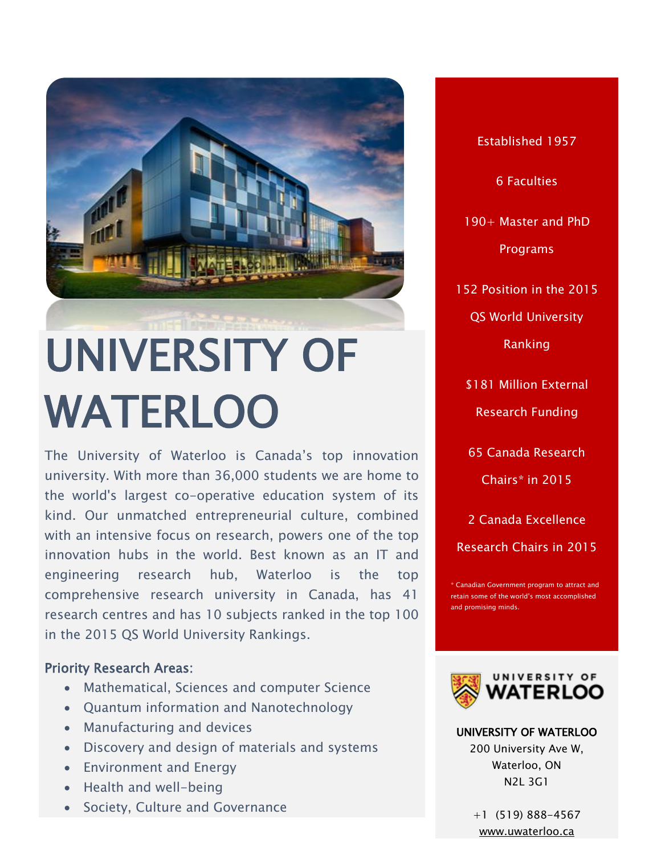

# UNIVERSITY OF WATERLOO

The University of Waterloo is Canada's top innovation university. With more than 36,000 students we are home to the world's largest co-operative education system of its kind. Our unmatched entrepreneurial culture, combined with an intensive focus on research, powers one of the top innovation hubs in the world. Best known as an IT and engineering research hub, Waterloo is the top comprehensive research university in Canada, has 41 research centres and has 10 subjects ranked in the top 100 in the 2015 QS World University Rankings.

# Priority Research Areas:

- Mathematical, Sciences and computer Science
- Quantum information and Nanotechnology
- Manufacturing and devices
- Discovery and design of materials and systems
- Environment and Energy
- Health and well-being
- Society, Culture and Governance

Established 1957 6 Faculties 190+ Master and PhD Programs 152 Position in the 2015 QS World University Ranking \$181 Million External Research Funding 65 Canada Research

Chairs\* in 2015

2 Canada Excellence

Research Chairs in 2015

\* Canadian Government program to attract and retain some of the world's most accomplished and promising minds.



UNIVERSITY OF WATERLOO 200 University Ave W, Waterloo, ON N2L 3G1

> +1 (519) 888-4567 [www.uwaterloo.ca](file:///C:/Users/Paulo%20Carvalho/Desktop/CALDO%20BROCHURE/www.uwaterloo.ca)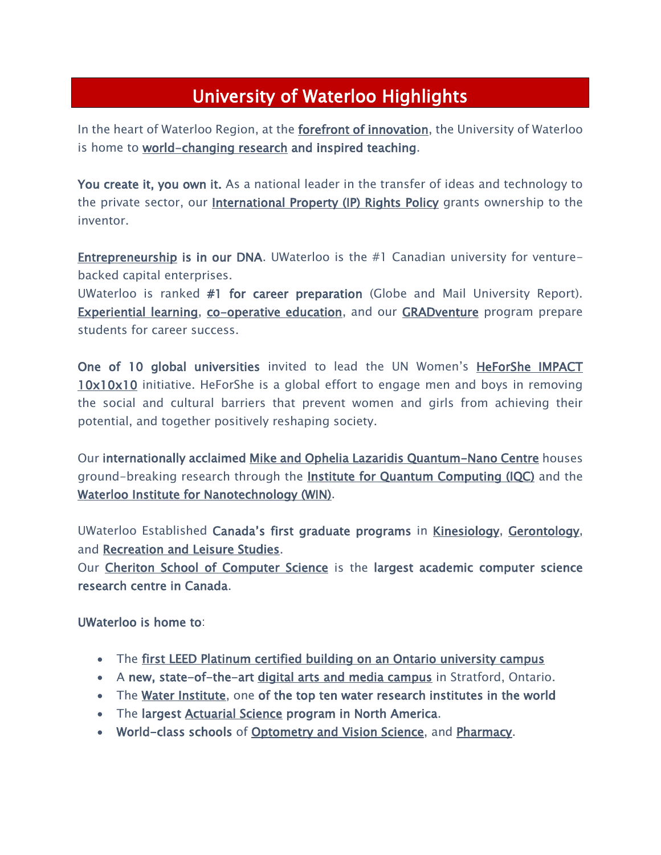# University of Waterloo Highlights

In the heart of Waterloo Region, at the **forefront of innovation**, the University of Waterloo is home to [world-changing research](https://uwaterloo.ca/state-of-the-university/2015/feature/world-changing-research) and inspired teaching.

You create it, you own it. As a national leader in the transfer of ideas and technology to the private sector, our **International Property (IP) Rights Policy** grants ownership to the inventor.

[Entrepreneurship](https://uwaterloo.ca/entrepreneurship/) is in our DNA. UWaterloo is the #1 Canadian university for venturebacked capital enterprises.

UWaterloo is ranked #1 for career preparation (Globe and Mail University Report). [Experiential learning,](https://uwaterloo.ca/state-of-the-university/2015/feature/students-uniquely-equipped-success) [co-operative education,](https://uwaterloo.ca/co-operative-education/) and our [GRADventure](https://uwaterloo.ca/gradventure/) program prepare students for career success.

One of 10 global universities invited to lead the UN Women's HeForShe IMPACT **[10x10x10](https://uwaterloo.ca/president/heforshe-waterloo)** initiative. HeForShe is a global effort to engage men and boys in removing the social and cultural barriers that prevent women and girls from achieving their potential, and together positively reshaping society.

Our internationally acclaimed [Mike and Ophelia Lazaridis Quantum-Nano Centre](https://uwaterloo.ca/mike-ophelia-lazaridis-quantum-nano-centre/) houses ground-breaking research through the [Institute for Quantum Computing \(IQC\)](http://iqc.uwaterloo.ca/) and the [Waterloo Institute for Nanotechnology \(WIN\).](https://uwaterloo.ca/institute-nanotechnology/)

UWaterloo Established Canada's first graduate programs in [Kinesiology,](https://uwaterloo.ca/kinesiology/) [Gerontology,](https://uwaterloo.ca/public-health-and-health-systems/) and [Recreation and Leisure Studies.](https://uwaterloo.ca/recreation-and-leisure-studies/)

Our [Cheriton School of Computer Science](https://cs.uwaterloo.ca/) is the largest academic computer science research centre in Canada.

UWaterloo is home to:

- The [first LEED Platinum certified building on an Ontario university campus](https://uwaterloo.ca/environment/about/ev3-platinum)
- A new, state-of-the-art [digital arts and media campus](https://uwaterloo.ca/stratford-campus/) in Stratford, Ontario.
- The [Water Institute,](http://water.uwaterloo.ca/) one of the top ten water research institutes in the world
- The largest [Actuarial Science](https://uwaterloo.ca/statistics-and-actuarial-science/) program in North America.
- World-class schools of [Optometry and Vision Science,](https://uwaterloo.ca/optometry-vision-science/) and [Pharmacy.](https://uwaterloo.ca/pharmacy/)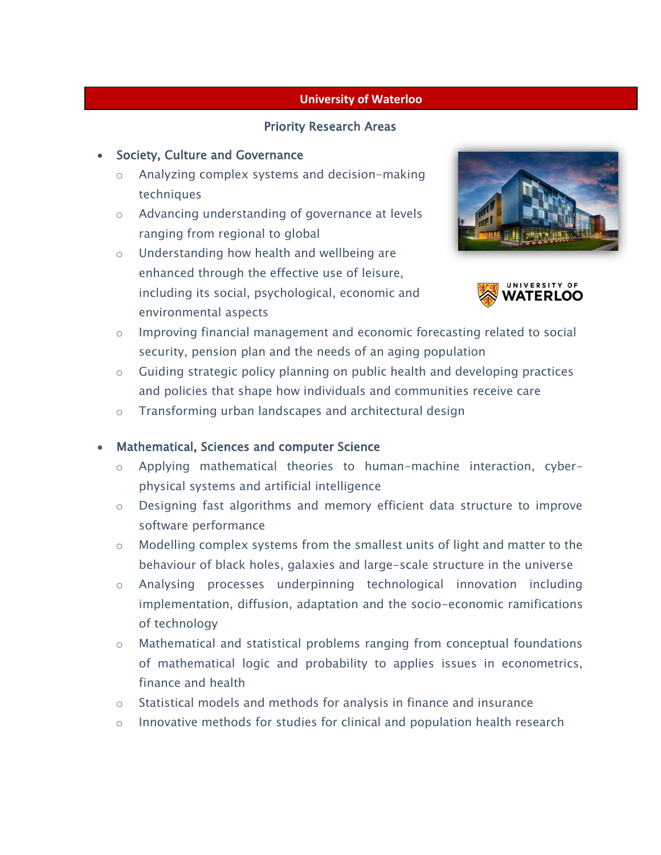#### **University of Waterloo**

#### Priority Research Areas

#### • Society, Culture and Governance

- o Analyzing complex systems and decision-making techniques
- o Advancing understanding of governance at levels ranging from regional to global
- o Understanding how health and wellbeing are enhanced through the effective use of leisure, including its social, psychological, economic and environmental aspects





- o Improving financial management and economic forecasting related to social security, pension plan and the needs of an aging population
- $\circ$  Guiding strategic policy planning on public health and developing practices and policies that shape how individuals and communities receive care
- o Transforming urban landscapes and architectural design

#### Mathematical, Sciences and computer Science

- o Applying mathematical theories to human-machine interaction, cyberphysical systems and artificial intelligence
- o Designing fast algorithms and memory efficient data structure to improve software performance
- o Modelling complex systems from the smallest units of light and matter to the behaviour of black holes, galaxies and large-scale structure in the universe
- o Analysing processes underpinning technological innovation including implementation, diffusion, adaptation and the socio-economic ramifications of technology
- o Mathematical and statistical problems ranging from conceptual foundations of mathematical logic and probability to applies issues in econometrics, finance and health
- o Statistical models and methods for analysis in finance and insurance
- $\circ$  Innovative methods for studies for clinical and population health research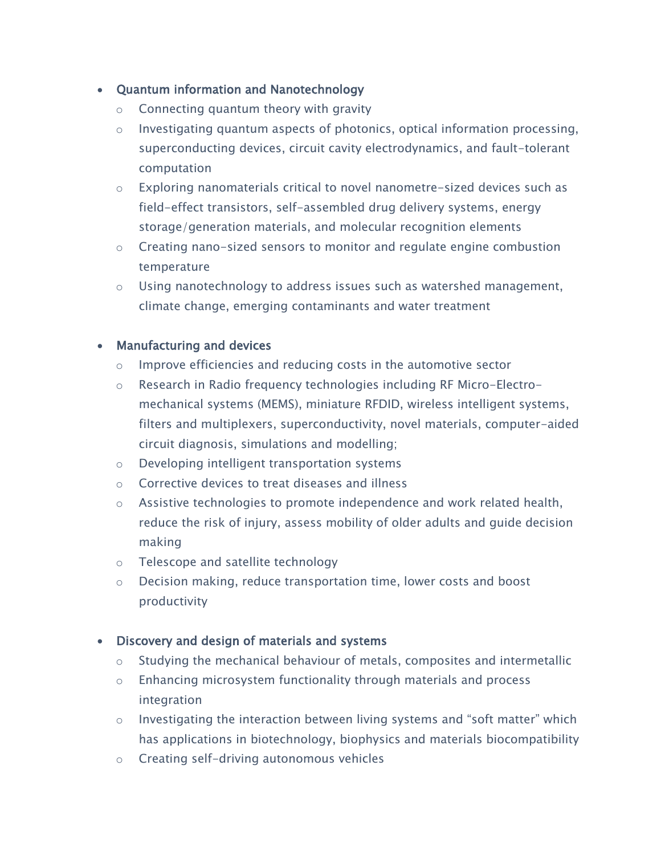# Quantum information and Nanotechnology

- o Connecting quantum theory with gravity
- o Investigating quantum aspects of photonics, optical information processing, superconducting devices, circuit cavity electrodynamics, and fault-tolerant computation
- $\circ$  Exploring nanomaterials critical to novel nanometre-sized devices such as field-effect transistors, self-assembled drug delivery systems, energy storage/generation materials, and molecular recognition elements
- o Creating nano-sized sensors to monitor and regulate engine combustion temperature
- o Using nanotechnology to address issues such as watershed management, climate change, emerging contaminants and water treatment

# • Manufacturing and devices

- o Improve efficiencies and reducing costs in the automotive sector
- $\circ$  Research in Radio frequency technologies including RF Micro-Electromechanical systems (MEMS), miniature RFDID, wireless intelligent systems, filters and multiplexers, superconductivity, novel materials, computer-aided circuit diagnosis, simulations and modelling;
- o Developing intelligent transportation systems
- o Corrective devices to treat diseases and illness
- o Assistive technologies to promote independence and work related health, reduce the risk of injury, assess mobility of older adults and guide decision making
- o Telescope and satellite technology
- o Decision making, reduce transportation time, lower costs and boost productivity

# Discovery and design of materials and systems

- o Studying the mechanical behaviour of metals, composites and intermetallic
- o Enhancing microsystem functionality through materials and process integration
- o Investigating the interaction between living systems and "soft matter" which has applications in biotechnology, biophysics and materials biocompatibility
- o Creating self-driving autonomous vehicles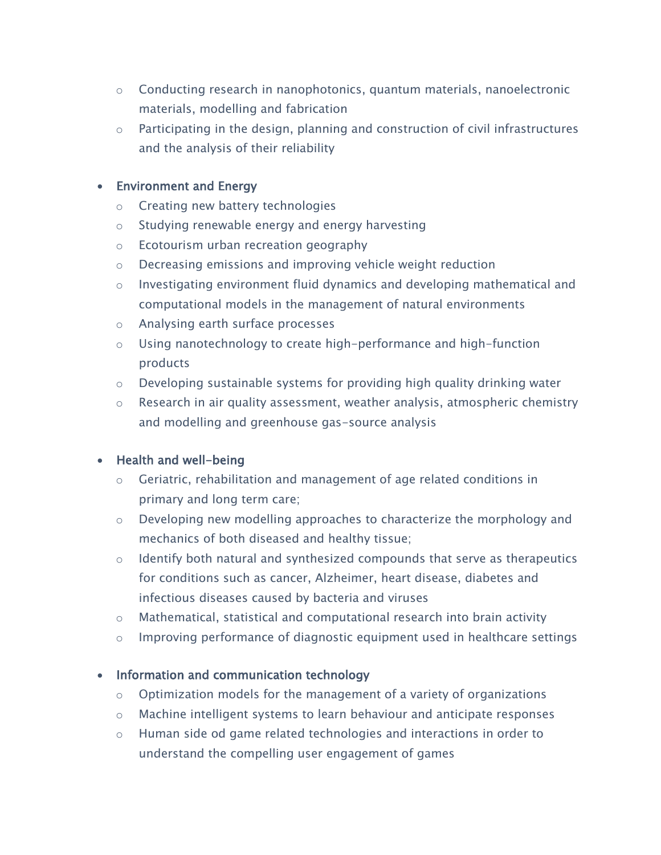- o Conducting research in nanophotonics, quantum materials, nanoelectronic materials, modelling and fabrication
- o Participating in the design, planning and construction of civil infrastructures and the analysis of their reliability

# Environment and Energy

- o Creating new battery technologies
- o Studying renewable energy and energy harvesting
- o Ecotourism urban recreation geography
- o Decreasing emissions and improving vehicle weight reduction
- o Investigating environment fluid dynamics and developing mathematical and computational models in the management of natural environments
- o Analysing earth surface processes
- o Using nanotechnology to create high-performance and high-function products
- $\circ$  Developing sustainable systems for providing high quality drinking water
- o Research in air quality assessment, weather analysis, atmospheric chemistry and modelling and greenhouse gas-source analysis

# • Health and well-being

- o Geriatric, rehabilitation and management of age related conditions in primary and long term care;
- $\circ$  Developing new modelling approaches to characterize the morphology and mechanics of both diseased and healthy tissue;
- o Identify both natural and synthesized compounds that serve as therapeutics for conditions such as cancer, Alzheimer, heart disease, diabetes and infectious diseases caused by bacteria and viruses
- o Mathematical, statistical and computational research into brain activity
- o Improving performance of diagnostic equipment used in healthcare settings

# • Information and communication technology

- o Optimization models for the management of a variety of organizations
- o Machine intelligent systems to learn behaviour and anticipate responses
- o Human side od game related technologies and interactions in order to understand the compelling user engagement of games